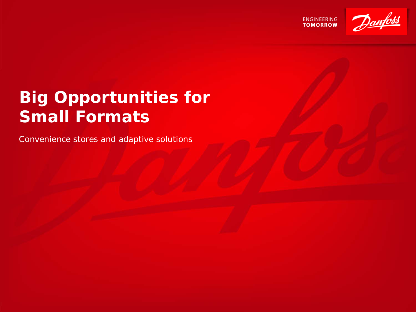**ENGINEERING**<br>TOMORROW



# **Big Opportunities for Small Formats**

Convenience stores and adaptive solutions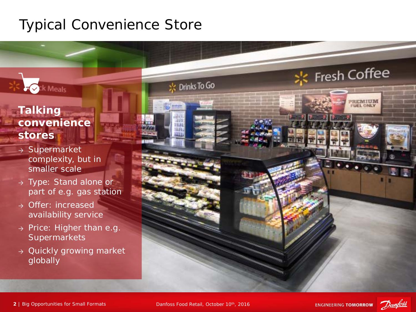## Typical Convenience Store

## **Talking convenience stores**

ck Meals

- → Supermarket complexity, but in smaller scale
- → Type: Stand alone or part of e.g. gas station
- → Offer: increased availability service
- $\rightarrow$  Price: Higher than e.g. **Supermarkets**
- → Quickly growing market globally



※ Drinks To Go



**Fresh Coffee** 

PREMIUM **FUEL ONLY**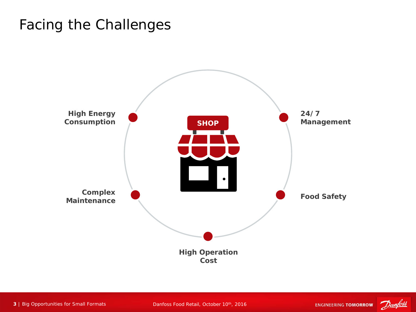## Facing the Challenges



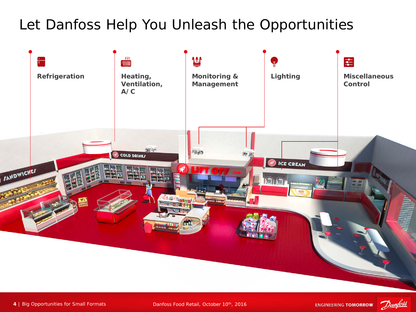## Let Danfoss Help You Unleash the Opportunities



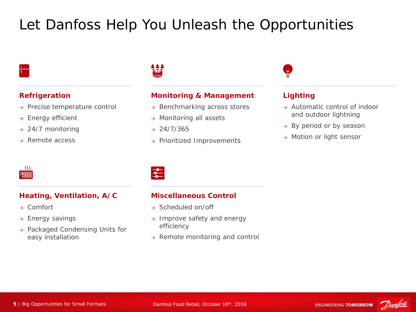# Let Danfoss Help You Unleash the Opportunities



### **Refrigeration**

- → Precise temperature control
- → Energy efficient
- $\rightarrow$  24/7 monitoring
- → Remote access



### **Monitoring & Management**

- → Benchmarking across stores
- → Monitoring all assets
- $\rightarrow$  24/7/365
- <sup>→</sup> Prioritized Improvements



### **Lighting**

- → Automatic control of indoor and outdoor lightning
- → By period or by season
- → Motion or light sensor

| i | I | II | I<br>I |  |
|---|---|----|--------|--|

### **Heating, Ventilation, A/C**

- → Comfort
- $\rightarrow$  Energy savings
- → Packaged Condensing Units for easy installation

### **Miscellaneous Control**

- → Scheduled on/off
- → Improve safety and energy efficiency
- → Remote monitoring and control

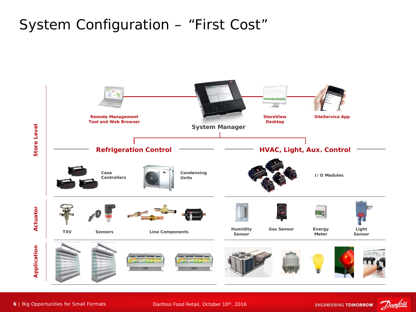## System Configuration – "First Cost"



Danfoss Food Retail, October 10th, 2016

Danfoss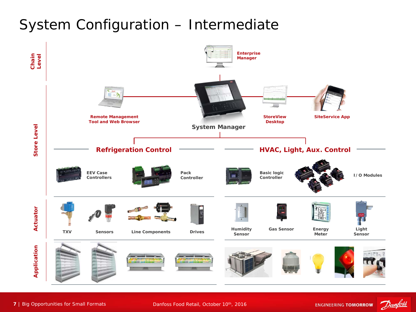## System Configuration – Intermediate



**7** | Big Opportunities for Small Formats

Danfoss Food Retail, October 10th, 2016

**ENGINEERING TOMORROW** 

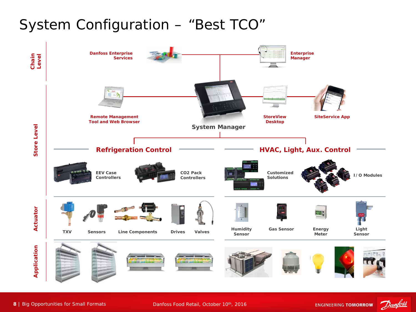## System Configuration – "Best TCO"



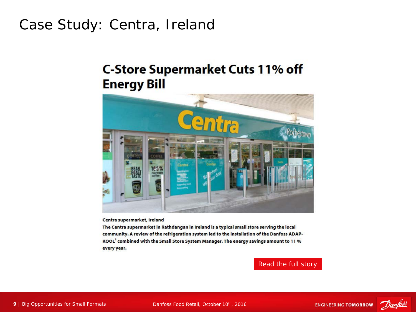## Case Study: Centra, Ireland

## **C-Store Supermarket Cuts 11% off Energy Bill**



Centra supermarket, Ireland

The Centra supermarket in Rathdangan in Ireland is a typical small store serving the local community. A review of the refrigeration system led to the installation of the Danfoss ADAP-KOOL<sup>8</sup> combined with the Small Store System Manager. The energy savings amount to 11 % every year.

[Read the full story](http://food-retail.danfoss.com/technicalarticles/rc/c-store-supermarket-cuts-11-percent-off-energy-bill/?ref=17179883258)

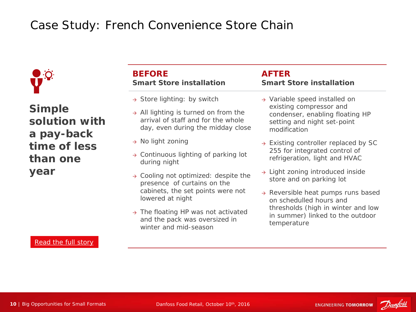## Case Study: French Convenience Store Chain



**Simple solution with a pay-back time of less than one year**

### [Read the full story](http://dila.danfoss.net/literature/dkrc/DKRCE.PA.R1.E1.22%20French%20retailer%20saves%20up%20to%2046%20on%20energy%20bill.pdf)

### **BEFORE Smart Store installation**

- $\rightarrow$  Store lighting: by switch
- $\rightarrow$  All lighting is turned on from the arrival of staff and for the whole day, even during the midday close
- → No light zoning
- $\rightarrow$  Continuous lighting of parking lot during night
- $\rightarrow$  Cooling not optimized: despite the presence of curtains on the cabinets, the set points were not lowered at night
- $\rightarrow$  The floating HP was not activated and the pack was oversized in winter and mid-season

### **AFTER Smart Store installation**

- → Variable speed installed on existing compressor and condenser, enabling floating HP setting and night set-point modification
- $\rightarrow$  Existing controller replaced by SC 255 for integrated control of refrigeration, light and HVAC
- → Light zoning introduced inside store and on parking lot
- → Reversible heat pumps runs based on schedulled hours and thresholds (high in winter and low in summer) linked to the outdoor temperature

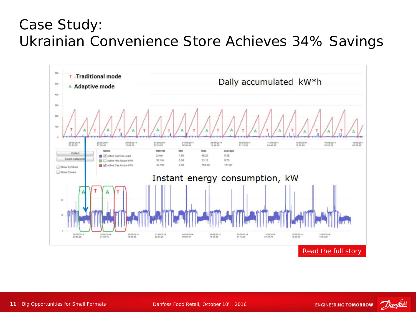## Case Study: Ukrainian Convenience Store Achieves 34% Savings



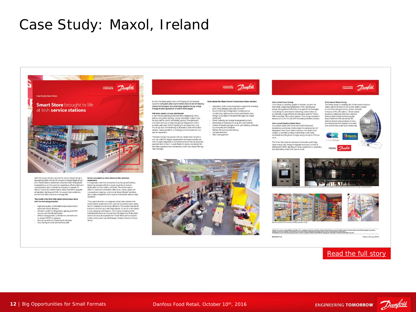## Case Study: Maxol, Ireland



With 230 service stations around the country, Maxol Group is the leading family-owned oil company in Ireland. Beginning in 2014, Maxol stations underwent a transformation that placed increased focus on the customer experience, offering high-end<br>snack products and convenience shopping to people on-<br>the-go. During this transformation, Maxol wanted to upgrade refrigeration, lighting and HVAC to support store ambience,<br>refrigeration, lighting and HVAC to support store ambience,<br>ensure food safety and save on energy bills.

#### The result is the first Irish smart convenience store with the following benefits:

- · High food quality, comfortable indoor environment,
- right out approved denergy efficiency<br>Full-strong control of refrigeration, lighting and HVAC<br>via one, use-friendly dashboard<br>- All food storage assets controlled via one front-end<br>- All food storage assets controlled via
- to ensure HACCP compliance<br>- Easy set-up and commissioning for all assets<br>- Easy training of onsite and technical staff
- 

#### Smart conv nce store enhances the custome experience

In cooperation with the contractors Cross Group and Danfoss. Maxol has pioneered the first smart convenience store in<br>Mulhuddart on the outskirts of Dublin. The service station offers its customers a branded coffee shop, snacks, salads and convenience shopping - and now all these different franchises<br>use a single, integrated control system that enables sale and easy operation.

"The project allowed us to engineer a total store solution that<br>meets Maxol's requirements for customer experience, food safety,<br>HACCP compliance and energy efficiency. The solution has run for Free computations are the spectrations. So much so that Maxed<br>A months and lives up to the expectrations. So much so that Maxed<br>is now assing for rew features - for instance, meteling of the<br>individual franchises on the pr in the coming years," says Paul Keegan, Projects Director at Cross

### In 2016, the Marci project won an IRI Energy & Environment Facts about the Maxol Smart Convenience Store solution

award for companies who have showed a track record of reducing award for companies who nave showed a track record of reduction<br>environmental impact and achievieng significal energy savings<br>through focused application of system technologies.

**Full store control via one dashboard**<br>A user-friendly dashboard that monitors refrigeration, HVAC,<br>indoor and outdoor lighting, energy and alarms makes it easy for store staff to control all building services. The dashboard For show and easy to learn. Integrated refrigeration control<br>is intuitive and easy to learn. Integrated refrigeration control<br>provides automatic HACCP reporting for all equipment, and<br>the set-up and commissioning of all as with service and commissioning or an assets is done with boliver<br>with vitards, making additions to building control systems fast and<br>easy to implement.

The Maxol project has proven that our Smart Store concept is The mass property has proven that the same content that it's easily adaptable to convenience stores with an expected pay-back time of only 1-2 years thanks to savings on energy bills and other operation and maintenance costs" says Shane Fleming siles Manager



## ENGINEERING Danfoss

Integrated control of all refrigeration equipment including pack, cases, integral cases and cold room casy momenting or reingerator, nearing and air<br>conditioning, lighting zones inside and outside store,<br>energy consumption and alarms through one simple

dashboard Power metering and energy management system Monitoring of temperature, air quality and humidity<br>Control of outside signage and car park lighting controlled by photocells and schedules. Dy photoceus and scriedules<br>Wireless Temperature Monitoring<br>Gas leak detection Alarm management



Cross Group is a leading supplier of turnkey solutions for food retail, comprising refrigeration, HVAC, lighting and<br>energy management. With a focus on greener technologie<br>Cross Group is committed to delivering solutions that are eco-friendly energy efficient and that give value for money ecommentary, energy entitient and that give value for money.<br>With more than 180 cooling experts, Cross Group operates in<br>Ireland, across the UK, and with increasing activities overseas.

**Facts about Danfoss Smart Store** As a market leader with more than 50,000 food retail<br>Installations worldwide, Danfoss leads the development of integrated Smart Store control solutions. The Smart Store solution is currently running in more than 5,000 stores worldwide and the proven energy savings are up to 50 % per store.

The Smart Store solution enhances food safety and brings down energy bills through integrated and smart control of<br>refrigeration, HVAC, lighting and other applications, connecting and optimizing stores from case to cloud

#### **Facts about Maxol Group**

Pacts about maxio larged print, The Maxio Land The Maxio Listing is a leading lifsh, family-owned business.<br>Today, with its network of 230 service station networks<br>is one of the strongest service station networks<br>in Irelan by private individuals who have selected Maxol as their brand and fuel supplier.<br>Maxol itself owns the remaining 100<br>stations, licensing the premises to local businesspeople with experience in retail and connections to the local community

ENGINEERING Danfos







| Dankss can accept no responsibility for possible enters in catalogues, broduces and other printed material. Dankss reserves the right to alter its products without notice. This also applies to products<br>already on order provided that such alterations can be made without subsequential changes being necessary in specifications already agreed.<br>All trademarks in this material are property of the respective companies. Danitoss and the Danitoss logotype are trademarks of Danitos APS. All rights reserved. |  |
|------------------------------------------------------------------------------------------------------------------------------------------------------------------------------------------------------------------------------------------------------------------------------------------------------------------------------------------------------------------------------------------------------------------------------------------------------------------------------------------------------------------------------|--|
| C.Deployed DCS (small 30/46.0)<br>FWEFT DE GENT 22                                                                                                                                                                                                                                                                                                                                                                                                                                                                           |  |

### [Read the full story](http://refrigerationandairconditioning.danfoss.com/technicalarticles/rc/smart-store-brought-to-life-at-irish-service-stations/?ref=17179926135)



Danfoss Food Retail, October 10th, 2016

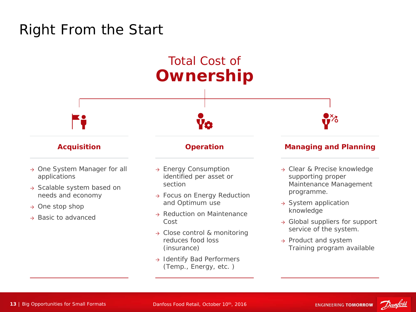## Right From the Start